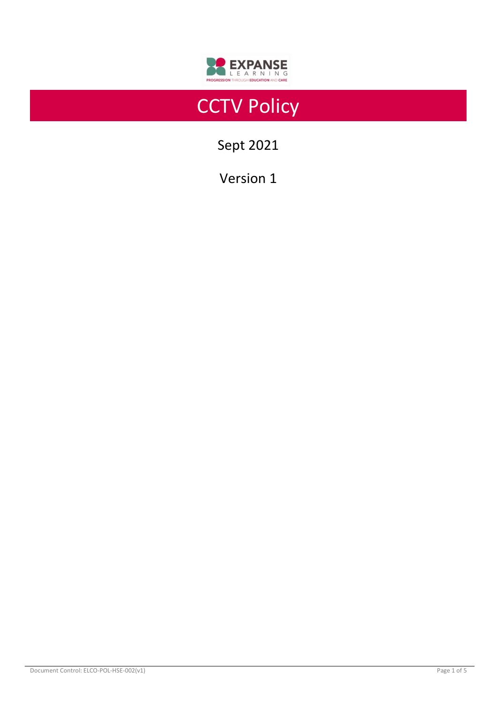

# **CCTV Policy**

Sept 2021

Version 1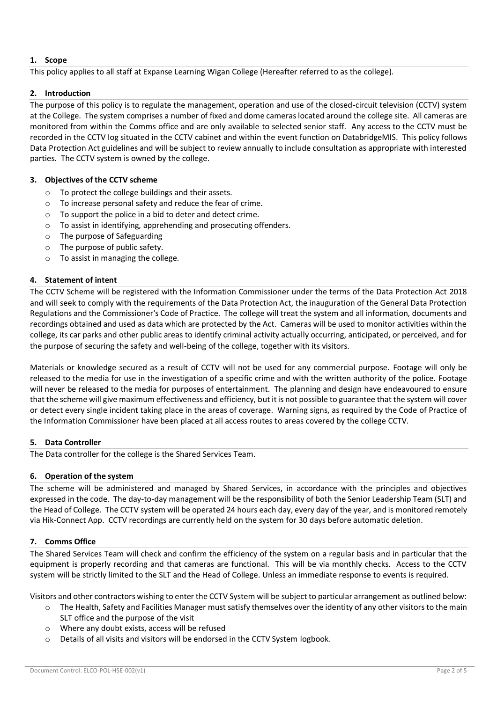# **1. Scope**

This policy applies to all staff at Expanse Learning Wigan College (Hereafter referred to as the college).

## **2. Introduction**

The purpose of this policy is to regulate the management, operation and use of the closed-circuit television (CCTV) system at the College.The system comprises a number of fixed and dome cameras located around the college site. All cameras are monitored from within the Comms office and are only available to selected senior staff. Any access to the CCTV must be recorded in the CCTV log situated in the CCTV cabinet and within the event function on DatabridgeMIS.This policy follows Data Protection Act guidelines and will be subject to review annually to include consultation as appropriate with interested parties.The CCTV system is owned by the college.

## **3. Objectives of the CCTV scheme**

- o To protect the college buildings and their assets.
- o To increase personal safety and reduce the fear of crime.
- o To support the police in a bid to deter and detect crime.
- o To assist in identifying, apprehending and prosecuting offenders.
- o The purpose of Safeguarding
- o The purpose of public safety.
- o To assist in managing the college.

## **4. Statement of intent**

The CCTV Scheme will be registered with the Information Commissioner under the terms of the Data Protection Act 2018 and will seek to comply with the requirements of the Data Protection Act, the inauguration of the General Data Protection Regulations and the Commissioner's Code of Practice. The college will treat the system and all information, documents and recordings obtained and used as data which are protected by the Act. Cameras will be used to monitor activities within the college, its car parks and other public areas to identify criminal activity actually occurring, anticipated, or perceived, and for the purpose of securing the safety and well-being of the college, together with its visitors.

Materials or knowledge secured as a result of CCTV will not be used for any commercial purpose. Footage will only be released to the media for use in the investigation of a specific crime and with the written authority of the police. Footage will never be released to the media for purposes of entertainment. The planning and design have endeavoured to ensure that the scheme will give maximum effectiveness and efficiency, but it is not possible to guarantee that the system will cover or detect every single incident taking place in the areas of coverage. Warning signs, as required by the Code of Practice of the Information Commissioner have been placed at all access routes to areas covered by the college CCTV.

## **5. Data Controller**

The Data controller for the college is the Shared Services Team.

## **6. Operation of the system**

The scheme will be administered and managed by Shared Services, in accordance with the principles and objectives expressed in the code. The day-to-day management will be the responsibility of both the Senior Leadership Team (SLT) and the Head of College. The CCTV system will be operated 24 hours each day, every day of the year, and is monitored remotely via Hik-Connect App. CCTV recordings are currently held on the system for 30 days before automatic deletion.

## **7. Comms Office**

The Shared Services Team will check and confirm the efficiency of the system on a regular basis and in particular that the equipment is properly recording and that cameras are functional. This will be via monthly checks. Access to the CCTV system will be strictly limited to the SLT and the Head of College. Unless an immediate response to events is required.

Visitors and other contractors wishing to enter the CCTV System will be subject to particular arrangement as outlined below:

- o The Health, Safety and Facilities Manager must satisfy themselves over the identity of any other visitors to the main SLT office and the purpose of the visit
- o Where any doubt exists, access will be refused
- o Details of all visits and visitors will be endorsed in the CCTV System logbook.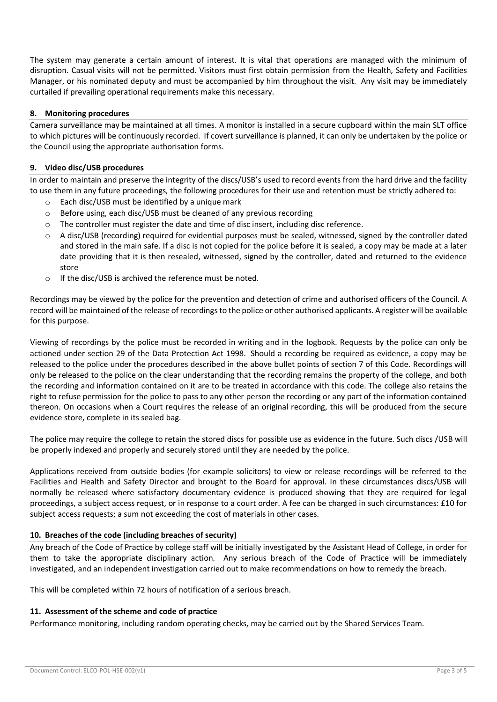The system may generate a certain amount of interest. It is vital that operations are managed with the minimum of disruption. Casual visits will not be permitted. Visitors must first obtain permission from the Health, Safety and Facilities Manager, or his nominated deputy and must be accompanied by him throughout the visit. Any visit may be immediately curtailed if prevailing operational requirements make this necessary.

## **8. Monitoring procedures**

Camera surveillance may be maintained at all times. A monitor is installed in a secure cupboard within the main SLT office to which pictures will be continuously recorded. If covert surveillance is planned, it can only be undertaken by the police or the Council using the appropriate authorisation forms.

#### **9. Video disc/USB procedures**

In order to maintain and preserve the integrity of the discs/USB's used to record events from the hard drive and the facility to use them in any future proceedings, the following procedures for their use and retention must be strictly adhered to:

- o Each disc/USB must be identified by a unique mark
- o Before using, each disc/USB must be cleaned of any previous recording
- $\circ$  The controller must register the date and time of disc insert, including disc reference.
- o A disc/USB (recording) required for evidential purposes must be sealed, witnessed, signed by the controller dated and stored in the main safe. If a disc is not copied for the police before it is sealed, a copy may be made at a later date providing that it is then resealed, witnessed, signed by the controller, dated and returned to the evidence store
- o If the disc/USB is archived the reference must be noted.

Recordings may be viewed by the police for the prevention and detection of crime and authorised officers of the Council. A record will be maintained of the release of recordings to the police or other authorised applicants. A register will be available for this purpose.

Viewing of recordings by the police must be recorded in writing and in the logbook. Requests by the police can only be actioned under section 29 of the Data Protection Act 1998. Should a recording be required as evidence, a copy may be released to the police under the procedures described in the above bullet points of section 7 of this Code. Recordings will only be released to the police on the clear understanding that the recording remains the property of the college, and both the recording and information contained on it are to be treated in accordance with this code. The college also retains the right to refuse permission for the police to pass to any other person the recording or any part of the information contained thereon. On occasions when a Court requires the release of an original recording, this will be produced from the secure evidence store, complete in its sealed bag.

The police may require the college to retain the stored discs for possible use as evidence in the future. Such discs /USB will be properly indexed and properly and securely stored until they are needed by the police.

Applications received from outside bodies (for example solicitors) to view or release recordings will be referred to the Facilities and Health and Safety Director and brought to the Board for approval. In these circumstances discs/USB will normally be released where satisfactory documentary evidence is produced showing that they are required for legal proceedings, a subject access request, or in response to a court order. A fee can be charged in such circumstances: £10 for subject access requests; a sum not exceeding the cost of materials in other cases.

## **10. Breaches of the code (including breaches of security)**

Any breach of the Code of Practice by college staff will be initially investigated by the Assistant Head of College, in order for them to take the appropriate disciplinary action. Any serious breach of the Code of Practice will be immediately investigated, and an independent investigation carried out to make recommendations on how to remedy the breach.

This will be completed within 72 hours of notification of a serious breach.

#### **11. Assessment of the scheme and code of practice**

Performance monitoring, including random operating checks, may be carried out by the Shared Services Team.